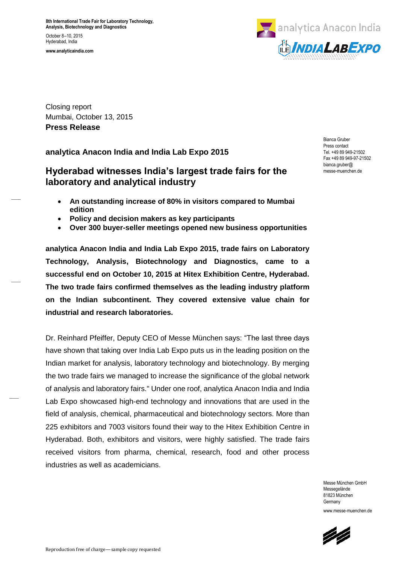**www.analyticaindia.com**



Closing report Mumbai, October 13, 2015 **Press Release**

**analytica Anacon India and India Lab Expo 2015**

## **Hyderabad witnesses India's largest trade fairs for the laboratory and analytical industry**

- **An outstanding increase of 80% in visitors compared to Mumbai edition**
- **Policy and decision makers as key participants**
- **Over 300 buyer-seller meetings opened new business opportunities**

**analytica Anacon India and India Lab Expo 2015, trade fairs on Laboratory Technology, Analysis, Biotechnology and Diagnostics, came to a successful end on October 10, 2015 at Hitex Exhibition Centre, Hyderabad. The two trade fairs confirmed themselves as the leading industry platform on the Indian subcontinent. They covered extensive value chain for industrial and research laboratories.** 

Dr. Reinhard Pfeiffer, Deputy CEO of Messe München says: "The last three days have shown that taking over India Lab Expo puts us in the leading position on the Indian market for analysis, laboratory technology and biotechnology. By merging the two trade fairs we managed to increase the significance of the global network of analysis and laboratory fairs." Under one roof, analytica Anacon India and India Lab Expo showcased high-end technology and innovations that are used in the field of analysis, chemical, pharmaceutical and biotechnology sectors. More than 225 exhibitors and 7003 visitors found their way to the Hitex Exhibition Centre in Hyderabad. Both, exhibitors and visitors, were highly satisfied. The trade fairs received visitors from pharma, chemical, research, food and other process industries as well as academicians.

Press contact Tel. +49 89 949-21502 Fax +49 89 949-97-21502 bianca.gruber@ messe-muenchen.de

Bianca Gruber

Messe München GmbH Messegelände 81823 München Germany www.messe-muenchen.de

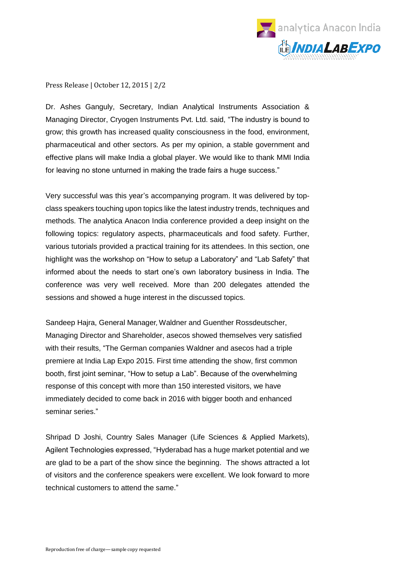

Press Release | October 12, 2015 | 2/2

Dr. Ashes Ganguly, Secretary, Indian Analytical Instruments Association & Managing Director, Cryogen Instruments Pvt. Ltd. said, "The industry is bound to grow; this growth has increased quality consciousness in the food, environment, pharmaceutical and other sectors. As per my opinion, a stable government and effective plans will make India a global player. We would like to thank MMI India for leaving no stone unturned in making the trade fairs a huge success."

Very successful was this year's accompanying program. It was delivered by topclass speakers touching upon topics like the latest industry trends, techniques and methods. The analytica Anacon India conference provided a deep insight on the following topics: regulatory aspects, pharmaceuticals and food safety. Further, various tutorials provided a practical training for its attendees. In this section, one highlight was the workshop on "How to setup a Laboratory" and "Lab Safety" that informed about the needs to start one's own laboratory business in India. The conference was very well received. More than 200 delegates attended the sessions and showed a huge interest in the discussed topics.

Sandeep Hajra, General Manager, Waldner and Guenther Rossdeutscher, Managing Director and Shareholder, asecos showed themselves very satisfied with their results, "The German companies Waldner and asecos had a triple premiere at India Lap Expo 2015. First time attending the show, first common booth, first joint seminar, "How to setup a Lab". Because of the overwhelming response of this concept with more than 150 interested visitors, we have immediately decided to come back in 2016 with bigger booth and enhanced seminar series."

Shripad D Joshi, Country Sales Manager (Life Sciences & Applied Markets), Agilent Technologies expressed, "Hyderabad has a huge market potential and we are glad to be a part of the show since the beginning. The shows attracted a lot of visitors and the conference speakers were excellent. We look forward to more technical customers to attend the same."